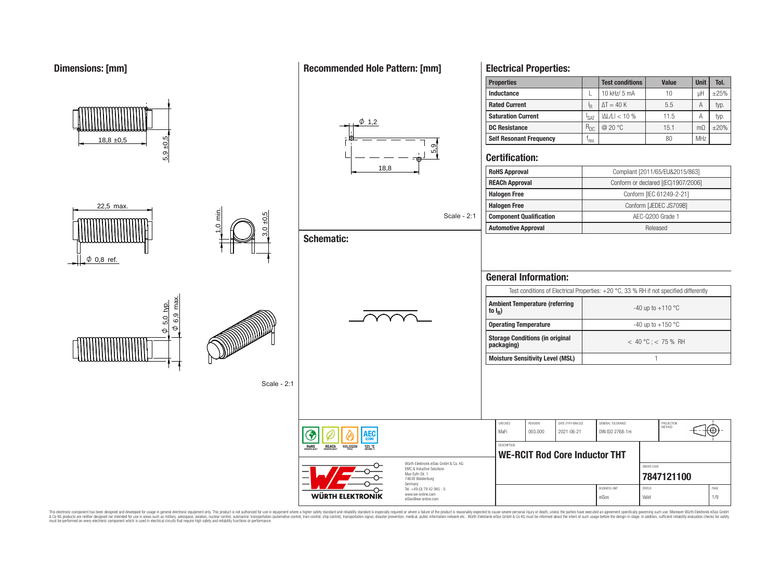**Dimensions: [mm]**

#### **Properties Test conditions Value Unit Tol. Inductance L** L 10 kHz/ 5 mA **10 L**  $\mu$ H  $\pm$ 25% **Rated Current** I I<sub>R</sub>  $\Delta T = 40 \text{ K}$   $\phantom{00}$  5.5 A typ. **Saturation Current**  $\left| \right|_{\text{SAT}}$  $|\Delta L/L| < 10\%$  11.5 A typ.  $\phi$  1,2 **DC Resistance** R<sub>DC</sub> @ 20 °C 15.1 mΩ ±20% 5,9 ±0,5 **Self Resonant Frequency** |  $f_{res}$  $18.8 \pm 0.5$  $res$  80 MHz 5,9<br>5, **Certification:** 18,8 **RoHS Approval Compliant [2011/65/EU&2015/863] REACh Approval** Conform or declared [(EC)1907/2006] **Halogen Free** Conform [IEC 61249-2-21] **Halogen Free** Conform [JEDEC JS709B] 22,5 max.  $\frac{1}{2}$ 3,0 ±0,5 Scale - 2:1 **Component Qualification AEC-Q200 Grade 1 Automotive Approval Released Schematic:**  $\phi$  0,8 ref. **General Information:** Test conditions of Electrical Properties: +20 °C, 33 % RH if not specified differently  $\varphi$  6,9 max. **Ambient Temperature (referring**  $\frac{\phi}{\phi}$  5.0 typ.  $-40$  up to  $+110$  °C **to I<sup>R</sup> )** <u>တု</u><br>ဖါ <u>ទា</u><br>ស **Operating Temperature discriming Temperature**  $-40 \text{ up to } +150 \text{ °C}$  $\phi$ **Storage Conditions (in original packaging)** < 40 °C ; < 75 % RH **Moisture Sensitivity Level (MSL)** 1 Scale - 2:1 CHECKED REVISION DATE (YYYY-MM-DD) GENERAL TOLERANCE PROJECTION<br>METHOD MaFi 003.000 2021-06-21 DIN ISO 2768-1m ŒΟ **DESCRIPTION** RoHS **HALOGEI**  $125.°$ **WE-RCIT Rod Core Inductor THT** Würth Elektronik eiSos GmbH & Co. KG ORDER CODE EMC & Inductive Solutions Max-Eyth-Str. 1 **[7847121100](https://www.we-online.com/catalog/en/article/7847121100)** 74638 Waldenburg Germany Tel. +49 (0) 79 42 945 - 0 BUSINESS UNIT STATUS STATUS STATUS AND STATUS AND STATUS STATUS STATUS AND STATUS STATUS STATUS STATUS AND STATUS STATUS AND LOCAL AND A STATUS AND LOCAL AND A STATUS AND LOCAL AND A STATUS AND LOCAL AND LOCAL AND LOCAL AN www.we-online.com WÜRTH ELEKTRONIK eiSos Valid 1/9

This electronic component has been designed and developed for usage in general electronic equipment only. This product is not authorized for use in equipment where a higher safely standard and reliability standard si espec & Ook product a label and the membed of the seasuch as marked and as which such a membed and the such assume that income in the seasuch and the simulation and the such assume that include to the such a membed and the such

eiSos@we-online.com

### **Recommended Hole Pattern: [mm]**

**Electrical Properties:**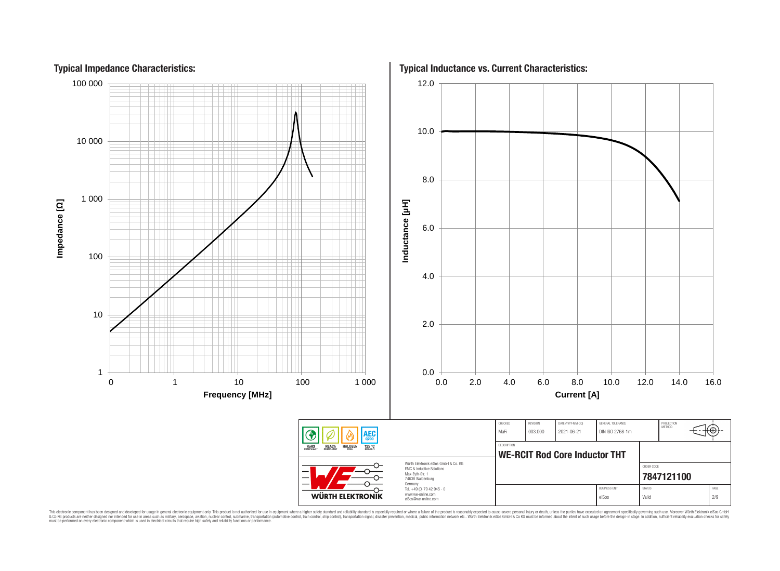

This electronic component has been designed and developed for usage in general electronic equipment only. This product is not authorized for subserved requipment where a higher selection equipment where a higher selection

**Typical Impedance Characteristics:**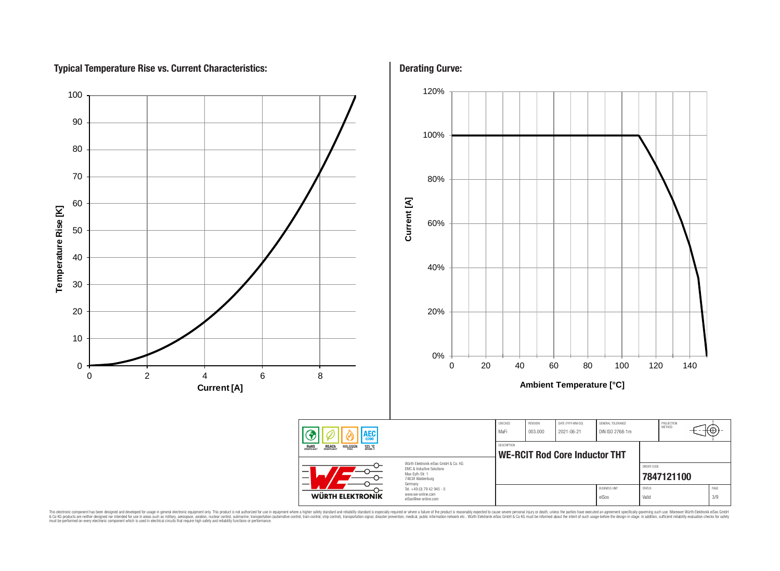# **Typical Temperature Rise vs. Current Characteristics:**



This electronic component has been designed and developed for usage in general electronic equipment only. This product is not authorized for subserved requipment where a higher selection equipment where a higher selection

# **Derating Curve:**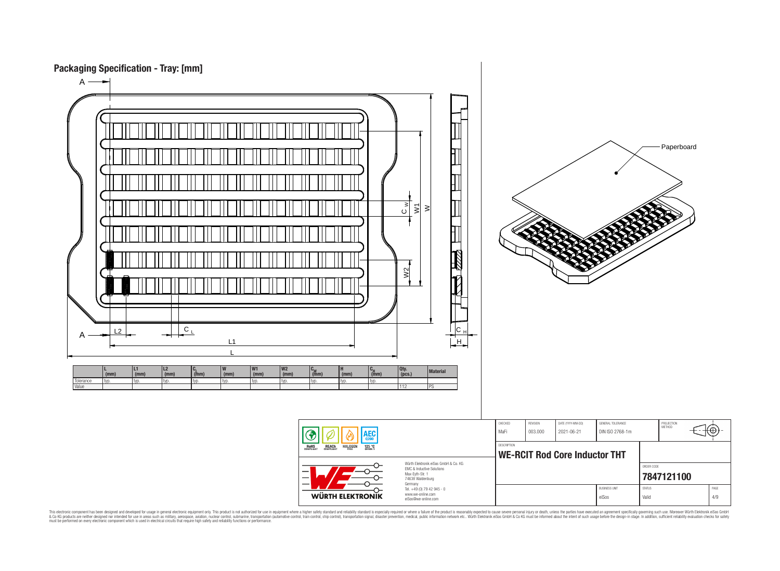

This electronic component has been designed and developed for usage in general electronic equipment only. This product is not authorized for subserved requipment where a higher selection equipment where a higher selection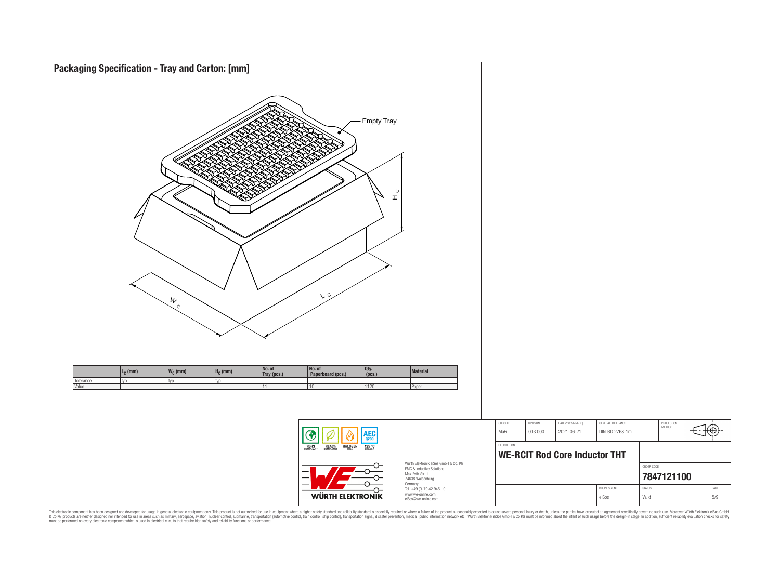

This electronic component has been designed and developed for usage in general electronic equipment only. This product is not authorized for subserved requipment where a higher selection equipment where a higher selection

⊕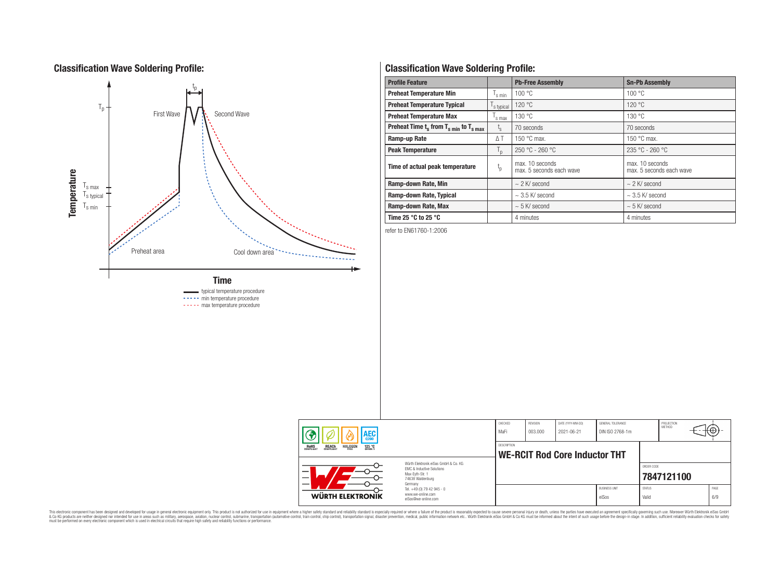# **Classification Wave Soldering Profile:**



----- max temperature procedure

# **Classification Wave Soldering Profile:**

| <b>Profile Feature</b>                                               |                        | <b>Pb-Free Assembly</b>                     | <b>Sn-Pb Assembly</b>                       |  |  |
|----------------------------------------------------------------------|------------------------|---------------------------------------------|---------------------------------------------|--|--|
| <b>Preheat Temperature Min</b>                                       | s min                  | 100 °C                                      | 100 °C                                      |  |  |
| <b>Preheat Temperature Typical</b>                                   | s typical              | 120 °C                                      | 120 °C                                      |  |  |
| <b>Preheat Temperature Max</b>                                       | s max                  | 130 °C                                      | 130 °C                                      |  |  |
| Preheat Time $t_s$ from $T_s$ <sub>min</sub> to $T_s$ <sub>max</sub> | $t_{\rm s}$            | 70 seconds                                  | 70 seconds                                  |  |  |
| Ramp-up Rate                                                         | $\Delta T$             | 150 $\degree$ C max.                        | 150 $\degree$ C max.                        |  |  |
| <b>Peak Temperature</b>                                              | $n_{\rm D}$            | $250 °C - 260 °C$                           | $235 °C - 260 °C$                           |  |  |
| Time of actual peak temperature                                      | $\mathfrak{t}_{\rm p}$ | max. 10 seconds<br>max. 5 seconds each wave | max. 10 seconds<br>max. 5 seconds each wave |  |  |
| Ramp-down Rate, Min                                                  |                        | $\sim$ 2 K/ second                          | $\sim$ 2 K/ second                          |  |  |
| Ramp-down Rate, Typical                                              |                        | $\sim$ 3.5 K/ second                        | $\sim$ 3.5 K/ second                        |  |  |
| Ramp-down Rate, Max                                                  |                        | $\sim$ 5 K/ second                          | $\sim$ 5 K/ second                          |  |  |
| Time 25 $^{\circ}$ C to 25 $^{\circ}$ C                              |                        | 4 minutes                                   | 4 minutes                                   |  |  |

refer to EN61760-1:2006

| <b>AEC</b>                                                                                                                    |                                                                        | CHECKED<br>MaFi                                            | REVISION<br>003.000 | DATE (YYYY-MM-DD)<br>2021-06-21 | GENERAL TOLERANCE<br>DIN ISO 2768-1m |                        | PROJECTION<br>METHOD | ιťΨ         |
|-------------------------------------------------------------------------------------------------------------------------------|------------------------------------------------------------------------|------------------------------------------------------------|---------------------|---------------------------------|--------------------------------------|------------------------|----------------------|-------------|
| <b>REACH</b><br>COMPLIANT<br>125 °C<br>GRADE 1<br><b>ROHS</b><br><b>HALOGEN</b>                                               |                                                                        | <b>DESCRIPTION</b><br><b>WE-RCIT Rod Core Inductor THT</b> |                     |                                 |                                      |                        |                      |             |
| Würth Flektronik eiSos GmbH & Co. KG<br>EMC & Inductive Solutions<br>-<br>Max-Eyth-Str. 1<br>—<br>74638 Waldenburg<br>Germany |                                                                        |                                                            |                     |                                 |                                      | ORDER CODE             | 7847121100           |             |
| <b>WÜRTH ELEKTRONIK</b>                                                                                                       | Tel. +49 (0) 79 42 945 - 0<br>www.we-online.com<br>eiSos@we-online.com |                                                            |                     |                                 | <b>BUSINESS UNIT</b><br>eiSos        | <b>STATUS</b><br>Valid |                      | PAGE<br>6/9 |

This electronic component has been designed and developed for usage in general electronic equipment only. This product is not authorized for subserved requipment where a higher selection equipment where a higher selection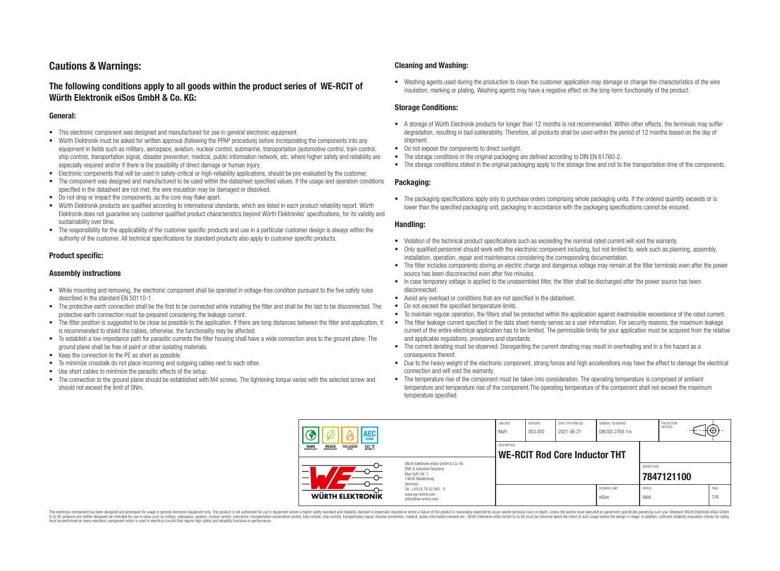# **Cautions & Warnings:**

## **The following conditions apply to all goods within the product series of WE-RCIT of Würth Elektronik eiSos GmbH & Co. KG:**

#### **General:**

- This electronic component was designed and manufactured for use in general electronic equipment.
- Würth Elektronik must be asked for written approval (following the PPAP procedure) before incorporating the components into any equipment in fields such as military, aerospace, aviation, nuclear control, submarine, transportation (automotive control, train control, ship control), transportation signal, disaster prevention, medical, public information network, etc. where higher safety and reliability are especially required and/or if there is the possibility of direct damage or human injury.
- Electronic components that will be used in safety-critical or high-reliability applications, should be pre-evaluated by the customer.
- The component was designed and manufactured to be used within the datasheet specified values. If the usage and operation conditions specified in the datasheet are not met, the wire insulation may be damaged or dissolved.
- Do not drop or impact the components, as the core may flake apart.
- Würth Elektronik products are qualified according to international standards, which are listed in each product reliability report. Würth Elektronik does not guarantee any customer qualified product characteristics beyond Würth Elektroniks' specifications, for its validity and sustainability over time.
- The responsibility for the applicability of the customer specific products and use in a particular customer design is always within the authority of the customer. All technical specifications for standard products also apply to customer specific products.

### **Product specific:**

#### **Assembly instructions**

- While mounting and removing, the electronic component shall be operated in voltage-free condition pursuant to the five safety rules described in the standard EN 50110-1.
- The protective earth connection shall be the first to be connected while installing the filter and shall be the last to be disconnected. The protective earth connection must be prepared considering the leakage current.
- The filter position is suggested to be close as possible to the application. If there are long distances between the filter and application, it is recommended to shield the cables, otherwise, the functionality may be affected.
- To establish a low impedance path for parasitic currents the filter housing shall have a wide connection area to the ground plane. The ground plane shall be free of paint or other isolating materials.
- Keep the connection to the PE as short as possible.
- To minimize crosstalk do not place incoming and outgoing cables next to each other.
- Use short cables to minimize the parasitic effects of the setup.
- The connection to the ground plane should be established with M4 screws. The tightening torque varies with the selected screw and should not exceed the limit of 5Nm.

#### **Cleaning and Washing:**

• Washing agents used during the production to clean the customer application may damage or change the characteristics of the wire insulation, marking or plating. Washing agents may have a negative effect on the long-term functionality of the product.

#### **Storage Conditions:**

- A storage of Würth Electronik products for longer than 12 months is not recommended. Within other effects, the terminals may suffer degradation, resulting in bad solderability. Therefore, all products shall be used within the period of 12 months based on the day of shipment.
- Do not expose the components to direct sunlight.
- The storage conditions in the original packaging are defined according to DIN EN 61760-2.
- The storage conditions stated in the original packaging apply to the storage time and not to the transportation time of the components.

#### **Packaging:**

• The packaging specifications apply only to purchase orders comprising whole packaging units. If the ordered quantity exceeds or is lower than the specified packaging unit, packaging in accordance with the packaging specifications cannot be ensured.

#### **Handling:**

- Violation of the technical product specifications such as exceeding the nominal rated current will void the warranty.
- Only qualified personnel should work with the electronic component including, but not limited to, work such as planning, assembly, installation, operation, repair and maintenance considering the corresponding documentation.
- The filter includes components storing an electric charge and dangerous voltage may remain at the filter terminals even after the power source has been disconnected even after five minutes.
- In case temporary voltage is applied to the unassembled filter, the filter shall be discharged after the power source has been disconnected.
- Avoid any overload or conditions that are not specified in the datasheet.
- Do not exceed the specified temperature limits.
- To maintain regular operation, the filters shall be protected within the application against inadmissible exceedance of the rated current.
- The filter leakage current specified in the data sheet merely serves as a user information. For security reasons, the maximum leakage current of the entire electrical application has to be limited. The permissible limits for your application must be acquired from the relative and applicable regulations, provisions and standards.
- The current derating must be observed. Disregarding the current derating may result in overheating and in a fire hazard as a consequence thereof.
- Due to the heavy weight of the electronic component, strong forces and high accelerations may have the effect to damage the electrical connection and will void the warranty.
- The temperature rise of the component must be taken into consideration. The operating temperature is comprised of ambient temperature and temperature rise of the component.The operating temperature of the component shall not exceed the maximum temperature specified.

| AEC                                                                                                                      |                                                                        | CHECKED<br>MaFi | REVISION<br>003.000 | DATE (YYYY-MM-DD)<br>2021-06-21      | GENERAL TOLERANCE<br>DIN ISO 2768-1m |                        | PROJECTION<br><b>METHOD</b> | tΨ:         |
|--------------------------------------------------------------------------------------------------------------------------|------------------------------------------------------------------------|-----------------|---------------------|--------------------------------------|--------------------------------------|------------------------|-----------------------------|-------------|
| 125 °C<br>ROHS<br>COMPLIANT<br><b>HALOGEN</b><br><b>REACH</b><br>COMPLIANT                                               |                                                                        | DESCRIPTION     |                     | <b>WE-RCIT Rod Core Inductor THT</b> |                                      |                        |                             |             |
| Würth Elektronik eiSos GmbH & Co. KG<br>EMC & Inductive Solutions<br>–<br>Max-Evth-Str. 1<br>74638 Waldenburg<br>Germany |                                                                        |                 |                     |                                      |                                      | ORDER CODE             | 7847121100                  |             |
| <b>WÜRTH ELEKTRONIK</b>                                                                                                  | Tel. +49 (0) 79 42 945 - 0<br>www.we-online.com<br>eiSos@we-online.com |                 |                     |                                      | <b>BUSINESS UNIT</b><br>eiSos        | <b>STATUS</b><br>Valid |                             | PAGE<br>7/9 |

This electronic component has been designed and developed for usage in general electronic equipment only. This product is not authorized for use in equipment where a higher safety standard and reliability standard is espec & Ook product a label and the membed of the seasuch as marked and as which such a membed and the such assume that income in the seasuch and the simulation and the such assume that include to the such a membed and the such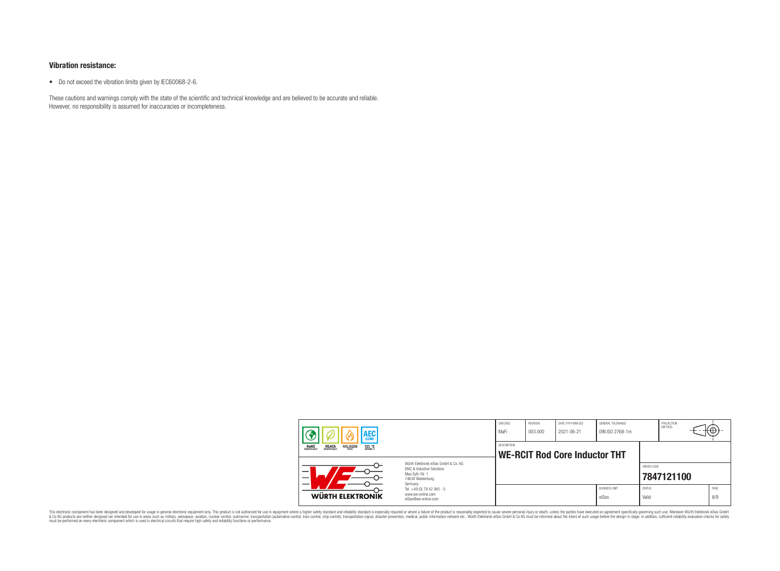#### **Vibration resistance:**

• Do not exceed the vibration limits given by IEC60068-2-6.

These cautions and warnings comply with the state of the scientific and technical knowledge and are believed to be accurate and reliable. However, no responsibility is assumed for inaccuracies or incompleteness.

|                                                                                                               | AEC                                                                                          |                                                                                   | CHECKED<br>MaFi    | REVISION<br>003.000 | DATE (YYYY-MM-DD)<br>2021-06-21      | GENERAL TOLERANCE<br>DIN ISO 2768-1m |                        | PROJECTION<br><b>METHOD</b> | ₩           |
|---------------------------------------------------------------------------------------------------------------|----------------------------------------------------------------------------------------------|-----------------------------------------------------------------------------------|--------------------|---------------------|--------------------------------------|--------------------------------------|------------------------|-----------------------------|-------------|
|                                                                                                               | 125 °C<br>GRADE 1<br><b>ROHS</b><br>COMPLIANT<br><b>REACH</b><br>COMPLIANT<br><b>HALOGEN</b> |                                                                                   | <b>DESCRIPTION</b> |                     | <b>WE-RCIT Rod Core Inductor THT</b> |                                      |                        |                             |             |
| Würth Elektronik eiSos GmbH & Co. KG<br>EMC & Inductive Solutions<br>Max-Evth-Str. 1<br>_<br>74638 Waldenburg |                                                                                              |                                                                                   |                    |                     |                                      |                                      | ORDER CODE             | 7847121100                  |             |
|                                                                                                               | WÜRTH ELEKTRONIK                                                                             | Germany<br>Tel. +49 (0) 79 42 945 - 0<br>www.we-online.com<br>eiSos@we-online.com |                    |                     |                                      | <b>BUSINESS UNIT</b><br>eiSos        | <b>STATUS</b><br>Valid |                             | PAGE<br>8/9 |

This electronic component has been designed and developed for usage in general electronic equipment only. This product is not authorized for subserved requipment where a higher selection equipment where a higher selection